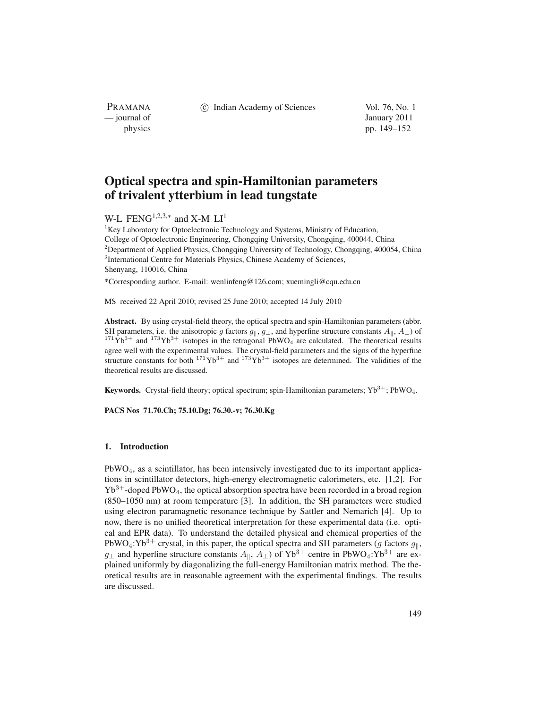PRAMANA<br>
— journal of

(c) Indian Academy of Sciences Vol. 76, No. 1

January 2011 physics pp. 149–152

# **Optical spectra and spin-Hamiltonian parameters of trivalent ytterbium in lead tungstate**

W-L FENG<sup>1,2,3,\*</sup> and X-M  $LI<sup>1</sup>$ 

<sup>1</sup>Key Laboratory for Optoelectronic Technology and Systems, Ministry of Education, College of Optoelectronic Engineering, Chongqing University, Chongqing, 400044, China <sup>2</sup>Department of Applied Physics, Chongqing University of Technology, Chongqing, 400054, China <sup>3</sup>International Centre for Materials Physics, Chinese Academy of Sciences, Shenyang, 110016, China

\*Corresponding author. E-mail: wenlinfeng@126.com; xuemingli@cqu.edu.cn

MS received 22 April 2010; revised 25 June 2010; accepted 14 July 2010

**Abstract.** By using crystal-field theory, the optical spectra and spin-Hamiltonian parameters (abbr. SH parameters, i.e. the anisotropic g factors  $g_{\parallel}$ ,  $g_{\perp}$ , and hyperfine structure constants  $A_{\parallel}$ <br><sup>171</sup> Vb<sup>3+</sup> and <sup>173</sup> Vb<sup>3+</sup> isotones in the tetragonal PbWO, are calculated. The theoretics  $1^{71}$ Yb<sup>3+</sup> and  $1^{73}$ Yb<sup>3+</sup> isotopes in the tetragonal PbWO<sub>4</sub> are calculated. The theoretical results agree well with the experimental values. The crystal-field parameters and the signs of the hyperfine structure constants for both  $171\text{Yb}^{3+}$  and  $173\text{Yb}^{3+}$  isotopes are determined. The validities of the theoretical results are discussed.

**Keywords.** Crystal-field theory; optical spectrum; spin-Hamiltonian parameters;  $Yb^{3+}$ ; PbWO<sub>4</sub>.

**PACS Nos 71.70.Ch; 75.10.Dg; 76.30.-v; 76.30.Kg**

# **1. Introduction**

PbWO4, as a scintillator, has been intensively investigated due to its important applications in scintillator detectors, high-energy electromagnetic calorimeters, etc. [1,2]. For  $Yb^{3+}$ -doped PbWO<sub>4</sub>, the optical absorption spectra have been recorded in a broad region (850–1050 nm) at room temperature [3]. In addition, the SH parameters were studied using electron paramagnetic resonance technique by Sattler and Nemarich [4]. Up to now, there is no unified theoretical interpretation for these experimental data (i.e. optical and EPR data). To understand the detailed physical and chemical properties of the PbWO<sub>4</sub>:Yb<sup>3+</sup> crystal, in this paper, the optical spectra and SH parameters (g factors  $g_{\parallel}$ , and byperfine structure constants  $A_{\parallel}$ ,  $A_{\perp}$ ) of  $\text{Yb}^{3+}$  centre in PbWO+N<sup>3+</sup> are ex $g_{\perp}$  and hyperfine structure constants  $A_{\parallel}$ ,  $A_{\perp}$ ) of Yb<sup>3+</sup> centre in PbWO<sub>4</sub>:Yb<sup>3+</sup> are ex-<br>plained uniformly by diagonalizing the full-energy Hamiltonian matrix method. The theplained uniformly by diagonalizing the full-energy Hamiltonian matrix method. The theoretical results are in reasonable agreement with the experimental findings. The results are discussed.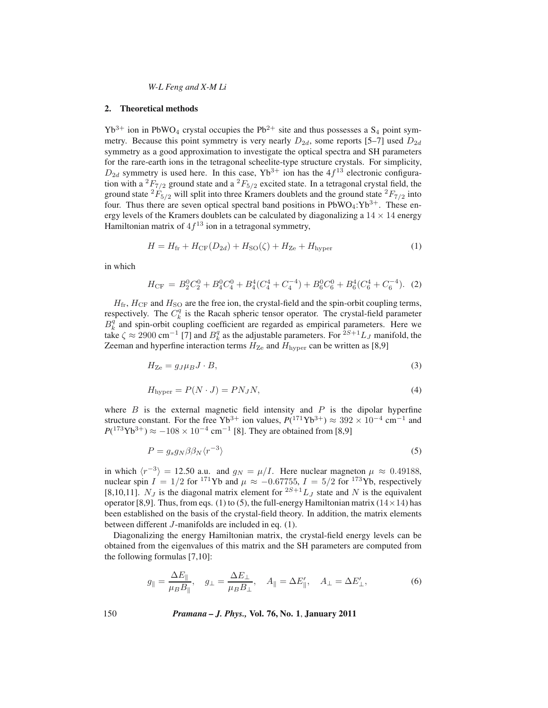*W-L Feng and X-M Li*

#### **2. Theoretical methods**

 $Yb^{3+}$  ion in PbWO<sub>4</sub> crystal occupies the Pb<sup>2+</sup> site and thus possesses a S<sub>4</sub> point symmetry. Because this point symmetry is very nearly  $D_{2d}$ , some reports [5–7] used  $D_{2d}$ symmetry as a good approximation to investigate the optical spectra and SH parameters for the rare-earth ions in the tetragonal scheelite-type structure crystals. For simplicity,  $D_{2d}$  symmetry is used here. In this case, Yb<sup>3+</sup> ion has the 4 $f^{13}$  electronic configuration with a  ${}^2F_{7/2}$  ground state and a  ${}^2F_{5/2}$  excited state. In a tetragonal crystal field, the ground state  ${}^{2}F_{5/2}$  will split into three Kramers doublets and the ground state  ${}^{2}F_{7/2}$  into four. Thus there are seven optical spectral band positions in  $PbWO_4$ : $Yb^{3+}$ . These energy levels of the Kramers doublets can be calculated by diagonalizing a  $14 \times 14$  energy Hamiltonian matrix of  $4f^{13}$  ion in a tetragonal symmetry,

$$
H = H_{\rm fr} + H_{\rm CF}(D_{2d}) + H_{\rm SO}(\zeta) + H_{\rm Ze} + H_{\rm hyper}
$$
 (1)

in which

$$
H_{\rm CF} = B_2^0 C_2^0 + B_4^0 C_4^0 + B_4^4 (C_4^4 + C_4^{-4}) + B_6^0 C_6^0 + B_6^4 (C_6^4 + C_6^{-4}).
$$
 (2)

 $H_{\text{fr}}$ ,  $H_{\text{CF}}$  and  $H_{\text{SO}}$  are the free ion, the crystal-field and the spin-orbit coupling terms, respectively. The  $C_k^q$  is the Racah spheric tensor operator. The crystal-field parameter  $R_q^q$  and spin-orbit coupling coefficient are regarded as empirical parameters. Here we  $B_k^q$  and spin-orbit coupling coefficient are regarded as empirical parameters. Here we<br>take  $\zeta \approx 2000 \text{ cm}^{-1}$  [7] and  $B_k^q$  as the adjustable parameters. For  $2S+1$ , a manifold the take  $\zeta \approx 2900 \text{ cm}^{-1}$  [7] and  $B_k^q$  as the adjustable parameters. For  $2^{S+1}L_J$  manifold, the Zeeman and hyperfine interaction terms  $H_{\text{Ze}}$  and  $H_{\text{hyper}}$  can be written as [8,9]

$$
H_{\text{Ze}} = g_J \mu_B J \cdot B,\tag{3}
$$

$$
H_{\text{hyper}} = P(N \cdot J) = PN_J N,\tag{4}
$$

where  $B$  is the external magnetic field intensity and  $P$  is the dipolar hyperfine structure constant. For the free Yb<sup>3+</sup> ion values,  $P(^{171}Yb^{3+}) \approx 392 \times 10^{-4}$  cm<sup>-1</sup> and  $P(^{173}\text{Yb}^{3+}) \approx -108 \times 10^{-4} \text{ cm}^{-1}$  [8]. They are obtained from [8,9]

$$
P = g_s g_N \beta \beta_N \langle r^{-3} \rangle \tag{5}
$$

in which  $\langle r^{-3} \rangle = 12.50$  a.u. and  $g_N = \mu / I$ . Here nuclear magneton  $\mu \approx 0.49188$ , nuclear spin  $I = 1/2$  for <sup>171</sup>Yb and  $\mu \approx -0.67755$ ,  $I = 5/2$  for <sup>173</sup>Yb, respectively [8,10,11].  $N_J$  is the diagonal matrix element for  ${}^{2S+1}L_J$  state and N is the equivalent operator [8,9]. Thus, from eqs. (1) to (5), the full-energy Hamiltonian matrix ( $14 \times 14$ ) has been established on the basis of the crystal-field theory. In addition, the matrix elements between different J-manifolds are included in eq. (1).

Diagonalizing the energy Hamiltonian matrix, the crystal-field energy levels can be obtained from the eigenvalues of this matrix and the SH parameters are computed from the following formulas [7,10]:

$$
g_{\parallel} = \frac{\Delta E_{\parallel}}{\mu_B B_{\parallel}}, \quad g_{\perp} = \frac{\Delta E_{\perp}}{\mu_B B_{\perp}}, \quad A_{\parallel} = \Delta E_{\parallel}', \quad A_{\perp} = \Delta E_{\perp}', \tag{6}
$$

150 *Pramana – J. Phys.,* **Vol. 76, No. 1**, **January 2011**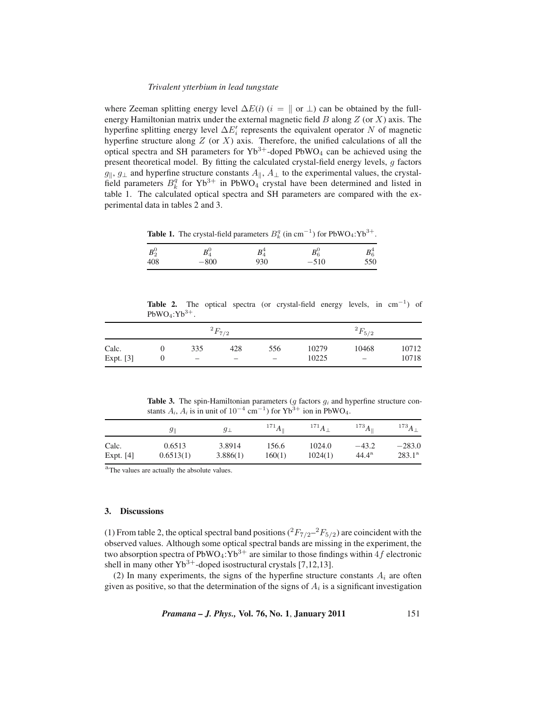### *Trivalent ytterbium in lead tungstate*

where Zeeman splitting energy level  $\Delta E(i)$  ( $i = ||$  or  $\bot$ ) can be obtained by the fullenergy Hamiltonian matrix under the external magnetic field  $B$  along  $Z$  (or  $X$ ) axis. The hyperfine splitting energy level  $\Delta E_i'$  represents the equivalent operator N of magnetic hyperfine structure along Z (or X) axis. Therefore, the unified calculations of all the hyperfine structure along  $Z$  (or  $X$ ) axis. Therefore, the unified calculations of all the optical spectra and SH parameters for  $Yb^{3+}$ -doped PbWO<sub>4</sub> can be achieved using the present theoretical model. By fitting the calculated crystal-field energy levels, g factors field parameters  $B_k^q$  for  $Yb^{3+}$  in PbWO<sub>4</sub> crystal have been determined and listed in table 1. The calculated optical spectra and SH parameters are compared with the ex-,  $g_{\perp}$  and hyperfine structure constants  $A_{\parallel}$ ,  $A_{\perp}$  to the experimental values, the crystaller and is not approximate  $R^q$  for  $Yb^{3+}$  in PbWO, crystal have been determined and listed in table 1. The calculated optical spectra and SH parameters are compared with the experimental data in tables 2 and 3.

**Table 1.** The crystal-field parameters  $B_k^q$  (in cm<sup>-1</sup>) for  $PbWO_4:Yb^{3+}$ .

| $B_2^0$<br>$B_6^0$<br>n-<br>408<br>$-800$<br>930<br>$-510$ | 550 |
|------------------------------------------------------------|-----|
|------------------------------------------------------------|-----|

**Table 2.** The optical spectra (or crystal-field energy levels, in cm−<sup>1</sup>) of  $PbWO_4:Yb^{3+}.$ 

|           | $^{2}F_{7/2}$ |                          |                          | $^{2}F_{5/2}$            |       |                          |       |
|-----------|---------------|--------------------------|--------------------------|--------------------------|-------|--------------------------|-------|
| Calc.     |               | 335                      | 428                      | 556                      | 10279 | 10468                    | 10712 |
| Expt. [3] |               | $\overline{\phantom{a}}$ | $\overline{\phantom{0}}$ | $\overline{\phantom{m}}$ | 10225 | $\overline{\phantom{0}}$ | 10718 |

**Table 3.** The spin-Hamiltonian parameters (*g* factors  $g_i$  and hyperfine structure constants  $A_i$ ,  $A_i$  is in unit of  $10^{-4}$  cm<sup>-1</sup>) for Yb<sup>3+</sup> ion in PbWO<sub>4</sub>.

|             | $g_{\parallel}$ | $g_{\perp}$ | $^{171}A_{\parallel}$ | $^{171}A_\perp$ | $^{173}A_{\parallel}$ | $^{173}$ A $_{\perp}$ |
|-------------|-----------------|-------------|-----------------------|-----------------|-----------------------|-----------------------|
| Calc.       | 0.6513          | 3.8914      | 156.6                 | 1024.0          | $-43.2$               | $-283.0$              |
| Expt. $[4]$ | 0.6513(1)       | 3.886(1)    | 160(1)                | 1024(1)         | $44.4^{\rm a}$        | $283.1^{\rm a}$       |

<sup>a</sup>The values are actually the absolute values.

# **3. Discussions**

(1) From table 2, the optical spectral band positions  $(^2F_{7/2}{}^{-2}F_{5/2}{}')$  are coincident with the observed values. Although some optical spectral bands are missing in the experiment, the two absorption spectra of PbWO<sub>4</sub>:  $Yb^{3+}$  are similar to those findings within 4f electronic shell in many other  $Yb^{3+}$ -doped isostructural crystals [7,12,13].

(2) In many experiments, the signs of the hyperfine structure constants  $A_i$  are often given as positive, so that the determination of the signs of  $A_i$  is a significant investigation

*Pramana – J. Phys.,* **Vol. 76, No. 1**, **January 2011** 151